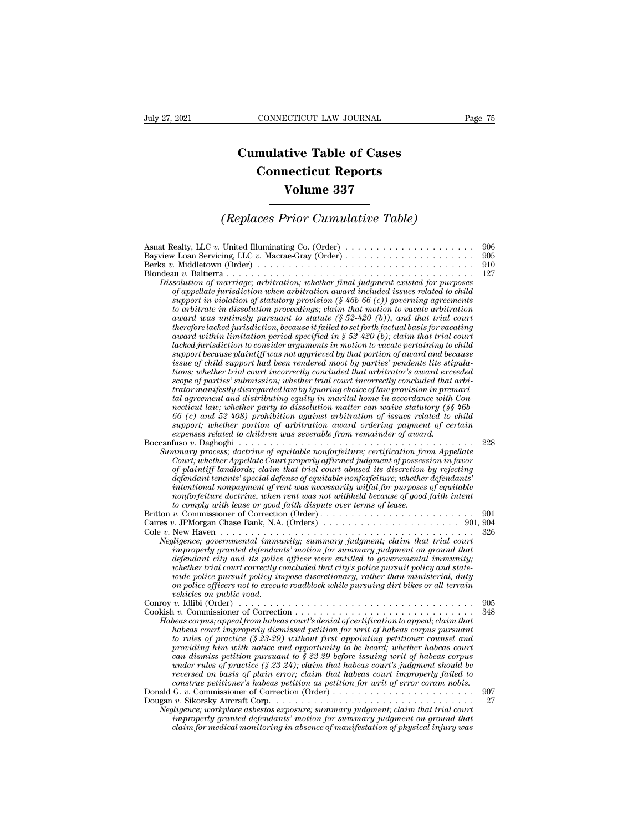## **CONNECTICUT LAW JOURNAL**<br> **Cumulative Table of Cases<br>
Connecticut Reports CONNECTICUT LAW JOURNAL**<br> **CONNECTICUT LAW JOURNAL**<br> **CONNECTICUT Reports<br>
Volume 337 ECTICUT LAW JOURNAL**<br> **Volume 337**<br> **Volume 337**<br> **Volume 337**<br> **Prior Cumulative Table)** *CONNECTICUT LAW JOURNAL* Page 75<br> **Cumulative Table of Cases<br>** *Connecticut Reports***<br>** *Volume 337***<br>** *(Replaces Prior Cumulative Table)*

| <b>Volume 337</b>                                                                                                                                                                                                                                                                                                                                                                                                                                                                                                                                                                                                                                                                                                                                                                                                                                                                                                                                                                                                                                                                                                                                                                                                                                                                                                                                                                                                                                                                                                                                                                                                                                                                                                                                                                                        |                          |  |
|----------------------------------------------------------------------------------------------------------------------------------------------------------------------------------------------------------------------------------------------------------------------------------------------------------------------------------------------------------------------------------------------------------------------------------------------------------------------------------------------------------------------------------------------------------------------------------------------------------------------------------------------------------------------------------------------------------------------------------------------------------------------------------------------------------------------------------------------------------------------------------------------------------------------------------------------------------------------------------------------------------------------------------------------------------------------------------------------------------------------------------------------------------------------------------------------------------------------------------------------------------------------------------------------------------------------------------------------------------------------------------------------------------------------------------------------------------------------------------------------------------------------------------------------------------------------------------------------------------------------------------------------------------------------------------------------------------------------------------------------------------------------------------------------------------|--------------------------|--|
| (Replaces Prior Cumulative Table)                                                                                                                                                                                                                                                                                                                                                                                                                                                                                                                                                                                                                                                                                                                                                                                                                                                                                                                                                                                                                                                                                                                                                                                                                                                                                                                                                                                                                                                                                                                                                                                                                                                                                                                                                                        |                          |  |
| Asnat Realty, LLC v. United Illuminating Co. (Order) $\dots \dots \dots \dots \dots \dots \dots \dots$<br>Berka v. Middletown (Order) $\ldots \ldots \ldots \ldots \ldots \ldots \ldots \ldots \ldots \ldots \ldots \ldots$<br>Dissolution of marriage; arbitration; whether final judgment existed for purposes<br>of appellate jurisdiction when arbitration award included issues related to child<br>support in violation of statutory provision $(\frac{1}{2}46b-66(c))$ governing agreements<br>to arbitrate in dissolution proceedings; claim that motion to vacate arbitration<br>award was untimely pursuant to statute $(\$ 52-420 (b))$ , and that trial court<br>therefore lacked jurisdiction, because it failed to set forth factual basis for vacating<br>award within limitation period specified in § 52-420 (b); claim that trial court<br>lacked jurisdiction to consider arguments in motion to vacate pertaining to child<br>support because plaintiff was not aggrieved by that portion of award and because<br>issue of child support had been rendered moot by parties' pendente lite stipula-<br>tions; whether trial court incorrectly concluded that arbitrator's award exceeded<br>scope of parties' submission; whether trial court incorrectly concluded that arbi-<br>trator manifestly disregarded law by ignoring choice of law provision in premari-<br>tal agreement and distributing equity in marital home in accordance with Con-<br>necticut law; whether party to dissolution matter can waive statutory $(\S \S 46b -$<br>$66(c)$ and $52-408$ ) prohibition against arbitration of issues related to child<br>support; whether portion of arbitration award ordering payment of certain<br>expenses related to children was severable from remainder of award. | 906<br>905<br>910<br>127 |  |
| Summary process; doctrine of equitable nonforfeiture; certification from Appellate<br>Court; whether Appellate Court properly affirmed judgment of possession in favor<br>of plaintiff landlords; claim that trial court abused its discretion by rejecting<br>defendant tenants' special defense of equitable nonforfeiture; whether defendants'<br>intentional nonpayment of rent was necessarily wilful for purposes of equitable<br>nonforfeiture doctrine, when rent was not withheld because of good faith intent<br>to comply with lease or good faith dispute over terms of lease.                                                                                                                                                                                                                                                                                                                                                                                                                                                                                                                                                                                                                                                                                                                                                                                                                                                                                                                                                                                                                                                                                                                                                                                                               | 228                      |  |
| Britton v. Commissioner of Correction (Order)<br>Negligence; governmental immunity; summary judgment; claim that trial court<br>improperly granted defendants' motion for summary judgment on ground that<br>defendant city and its police officer were entitled to governmental immunity;<br>whether trial court correctly concluded that city's police pursuit policy and state-<br>wide police pursuit policy impose discretionary, rather than ministerial, duty<br>on police officers not to execute roadblock while pursuing dirt bikes or all-terrain<br>vehicles on public road.                                                                                                                                                                                                                                                                                                                                                                                                                                                                                                                                                                                                                                                                                                                                                                                                                                                                                                                                                                                                                                                                                                                                                                                                                 | 901<br>326               |  |
| Habeas corpus; appeal from habeas court's denial of certification to appeal; claim that<br>habeas court improperly dismissed petition for writ of habeas corpus pursuant<br>to rules of practice $(\frac{8}{23-29})$ without first appointing petitioner counsel and<br>providing him with notice and opportunity to be heard; whether habeas court<br>can dismiss petition pursuant to $\S 23-29$ before issuing writ of habeas corpus<br>under rules of practice (§ 23-24); claim that habeas court's judgment should be<br>reversed on basis of plain error; claim that habeas court improperly failed to<br>construe petitioner's habeas petition as petition for writ of error coram nobis.                                                                                                                                                                                                                                                                                                                                                                                                                                                                                                                                                                                                                                                                                                                                                                                                                                                                                                                                                                                                                                                                                                         | 905<br>348               |  |
| Negligence; workplace asbestos exposure; summary judgment; claim that trial court<br>improperly granted defendants' motion for summary judgment on ground that<br>claim for medical monitoring in absence of manifestation of physical injury was                                                                                                                                                                                                                                                                                                                                                                                                                                                                                                                                                                                                                                                                                                                                                                                                                                                                                                                                                                                                                                                                                                                                                                                                                                                                                                                                                                                                                                                                                                                                                        | 907<br>27                |  |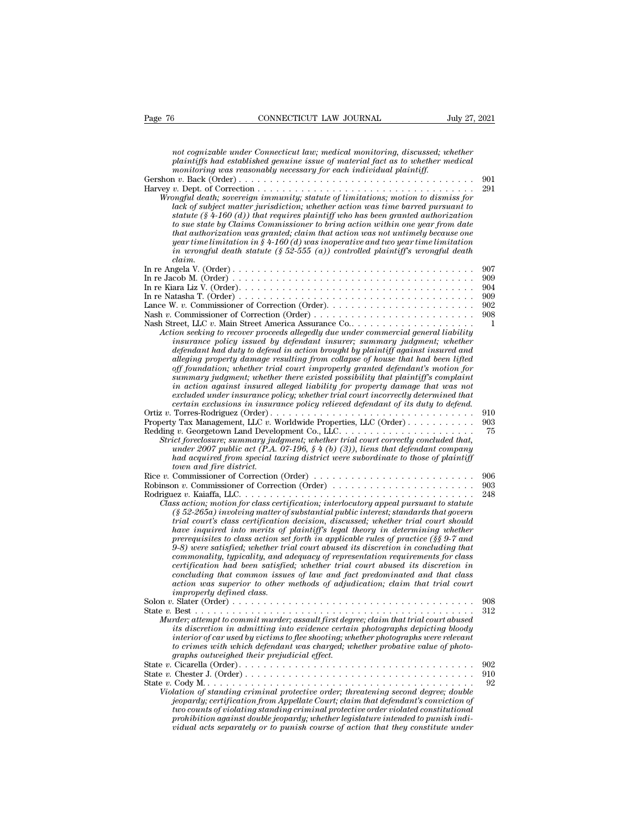| CONNECTICUT LAW JOURNAL<br>Page 76<br>July 27, 2021                                                                                                                                                                                                                                                                                                                                                                                                                                                                                                                                                                                                                                                                                                                                                                                                                                                                                                                                                            |            |
|----------------------------------------------------------------------------------------------------------------------------------------------------------------------------------------------------------------------------------------------------------------------------------------------------------------------------------------------------------------------------------------------------------------------------------------------------------------------------------------------------------------------------------------------------------------------------------------------------------------------------------------------------------------------------------------------------------------------------------------------------------------------------------------------------------------------------------------------------------------------------------------------------------------------------------------------------------------------------------------------------------------|------------|
|                                                                                                                                                                                                                                                                                                                                                                                                                                                                                                                                                                                                                                                                                                                                                                                                                                                                                                                                                                                                                |            |
| not cognizable under Connecticut law; medical monitoring, discussed; whether<br>plaintiffs had established genuine issue of material fact as to whether medical                                                                                                                                                                                                                                                                                                                                                                                                                                                                                                                                                                                                                                                                                                                                                                                                                                                |            |
| monitoring was reasonably necessary for each individual plaintiff.                                                                                                                                                                                                                                                                                                                                                                                                                                                                                                                                                                                                                                                                                                                                                                                                                                                                                                                                             | 901        |
| Wrongful death; sovereign immunity; statute of limitations; motion to dismiss for<br>lack of subject matter jurisdiction; whether action was time barred pursuant to<br>statute $(\frac{8}{4} - 160)$ (d)) that requires plaintiff who has been granted authorization<br>to sue state by Claims Commissioner to bring action within one year from date<br>that authorization was granted; claim that action was not untimely because one<br>year time limitation in § 4-160 (d) was inoperative and two year time limitation<br>in wrongful death statute (§ 52-555 (a)) controlled plaintiff's wrongful death<br>claim.                                                                                                                                                                                                                                                                                                                                                                                       | 291        |
|                                                                                                                                                                                                                                                                                                                                                                                                                                                                                                                                                                                                                                                                                                                                                                                                                                                                                                                                                                                                                | 907        |
|                                                                                                                                                                                                                                                                                                                                                                                                                                                                                                                                                                                                                                                                                                                                                                                                                                                                                                                                                                                                                | 909        |
| In re Kiara Liz V. (Order). $\dots \dots \dots \dots \dots \dots \dots \dots \dots \dots \dots \dots \dots \dots \dots \dots$                                                                                                                                                                                                                                                                                                                                                                                                                                                                                                                                                                                                                                                                                                                                                                                                                                                                                  | 904<br>909 |
|                                                                                                                                                                                                                                                                                                                                                                                                                                                                                                                                                                                                                                                                                                                                                                                                                                                                                                                                                                                                                | 902        |
|                                                                                                                                                                                                                                                                                                                                                                                                                                                                                                                                                                                                                                                                                                                                                                                                                                                                                                                                                                                                                | 908        |
| Action seeking to recover proceeds allegedly due under commercial general liability<br><i>insurance policy issued by defendant insurer; summary judgment; whether</i><br>defendant had duty to defend in action brought by plaintiff against insured and<br>alleging property damage resulting from collapse of house that had been lifted<br>off foundation; whether trial court improperly granted defendant's motion for<br>summary judgment; whether there existed possibility that plaintiff's complaint<br>in action against insured alleged liability for property damage that was not<br>excluded under insurance policy; whether trial court incorrectly determined that<br>certain exclusions in insurance policy relieved defendant of its duty to defend.                                                                                                                                                                                                                                          | 1          |
|                                                                                                                                                                                                                                                                                                                                                                                                                                                                                                                                                                                                                                                                                                                                                                                                                                                                                                                                                                                                                | 910        |
| Strict foreclosure; summary judgment; whether trial court correctly concluded that,<br>under 2007 public act (P.A. 07-196, $\S 4$ (b) (3)), liens that defendant company<br>had acquired from special taxing district were subordinate to those of plaintiff<br>town and fire district.                                                                                                                                                                                                                                                                                                                                                                                                                                                                                                                                                                                                                                                                                                                        | 903<br>75  |
| Rice v. Commissioner of Correction (Order) $\dots \dots \dots \dots \dots \dots \dots \dots \dots \dots$                                                                                                                                                                                                                                                                                                                                                                                                                                                                                                                                                                                                                                                                                                                                                                                                                                                                                                       | 906        |
| Robinson v. Commissioner of Correction (Order) $\dots \dots \dots \dots \dots \dots \dots \dots$<br>Class action; motion for class certification; interlocutory appeal pursuant to statute<br>$(\S 52-265a)$ involving matter of substantial public interest; standards that govern<br>trial court's class certification decision, discussed; whether trial court should<br>have inquired into merits of plaintiff's legal theory in determining whether<br>prerequisites to class action set forth in applicable rules of practice ( $\S$ § 9-7 and<br>9-8) were satisfied; whether trial court abused its discretion in concluding that<br>commonality, typicality, and adequacy of representation requirements for class<br>certification had been satisfied; whether trial court abused its discretion in<br>concluding that common issues of law and fact predominated and that class<br>action was superior to other methods of adjudication; claim that trial court<br><i>improperly defined class.</i> | 903<br>248 |
|                                                                                                                                                                                                                                                                                                                                                                                                                                                                                                                                                                                                                                                                                                                                                                                                                                                                                                                                                                                                                | 908<br>312 |
| Murder; attempt to commit murder; assault first degree; claim that trial court abused<br>its discretion in admitting into evidence certain photographs depicting bloody<br>interior of car used by victims to flee shooting; whether photographs were relevant<br>to crimes with which defendant was charged; whether probative value of photo-<br>graphs outweighed their prejudicial effect.                                                                                                                                                                                                                                                                                                                                                                                                                                                                                                                                                                                                                 |            |
|                                                                                                                                                                                                                                                                                                                                                                                                                                                                                                                                                                                                                                                                                                                                                                                                                                                                                                                                                                                                                | 902        |
| Violation of standing criminal protective order: threatening second degree: double<br>jeopardy; certification from Appellate Court; claim that defendant's conviction of<br>two counts of violating standing criminal protective order violated constitutional<br>prohibition against double jeopardy; whether legislature intended to punish indi-<br>vidual acts separately or to punish course of action that they constitute under                                                                                                                                                                                                                                                                                                                                                                                                                                                                                                                                                                         | 910<br>92  |